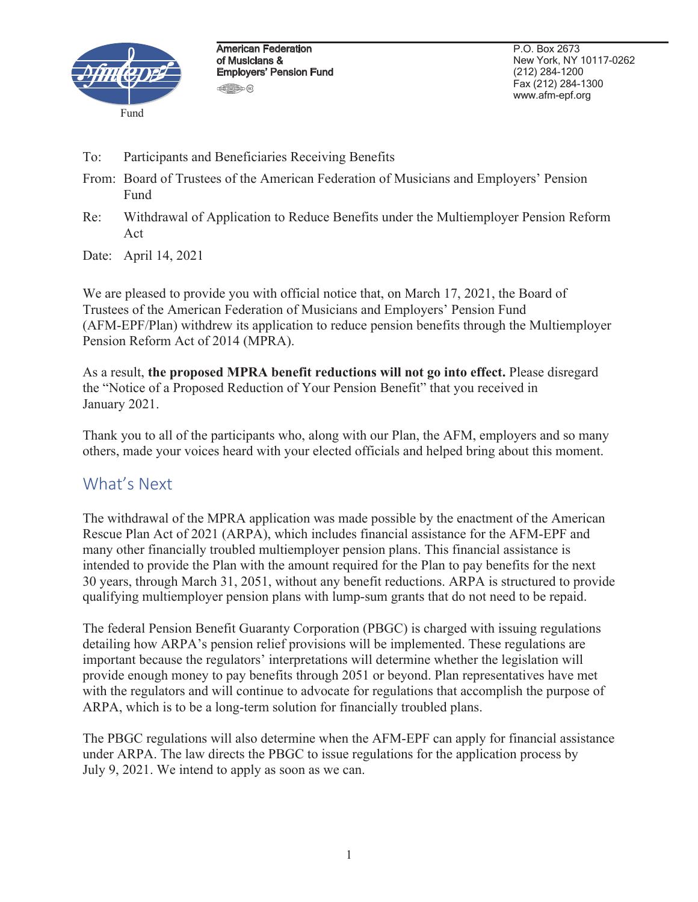

American Federation of Musicians & Employers' Pension Fund **450** 

P.O. Box 2673 New York, NY 10117-0262 (212) 284-1200 Fax (212) 284-1300 www.afm-epf.org

- To: Participants and Beneficiaries Receiving Benefits
- From: Board of Trustees of the American Federation of Musicians and Employers' Pension Fund
- Re: Withdrawal of Application to Reduce Benefits under the Multiemployer Pension Reform Act

Date: April 14, 2021

We are pleased to provide you with official notice that, on March 17, 2021, the Board of Trustees of the American Federation of Musicians and Employers' Pension Fund (AFM-EPF/Plan) withdrew its application to reduce pension benefits through the Multiemployer Pension Reform Act of 2014 (MPRA).

As a result, **the proposed MPRA benefit reductions will not go into effect.** Please disregard the "Notice of a Proposed Reduction of Your Pension Benefit" that you received in January 2021.

Thank you to all of the participants who, along with our Plan, the AFM, employers and so many others, made your voices heard with your elected officials and helped bring about this moment.

## What's Next

The withdrawal of the MPRA application was made possible by the enactment of the American Rescue Plan Act of 2021 (ARPA), which includes financial assistance for the AFM-EPF and many other financially troubled multiemployer pension plans. This financial assistance is intended to provide the Plan with the amount required for the Plan to pay benefits for the next 30 years, through March 31, 2051, without any benefit reductions. ARPA is structured to provide qualifying multiemployer pension plans with lump-sum grants that do not need to be repaid.

The federal Pension Benefit Guaranty Corporation (PBGC) is charged with issuing regulations detailing how ARPA's pension relief provisions will be implemented. These regulations are important because the regulators' interpretations will determine whether the legislation will provide enough money to pay benefits through 2051 or beyond. Plan representatives have met with the regulators and will continue to advocate for regulations that accomplish the purpose of ARPA, which is to be a long-term solution for financially troubled plans.

The PBGC regulations will also determine when the AFM-EPF can apply for financial assistance under ARPA. The law directs the PBGC to issue regulations for the application process by July 9, 2021. We intend to apply as soon as we can.